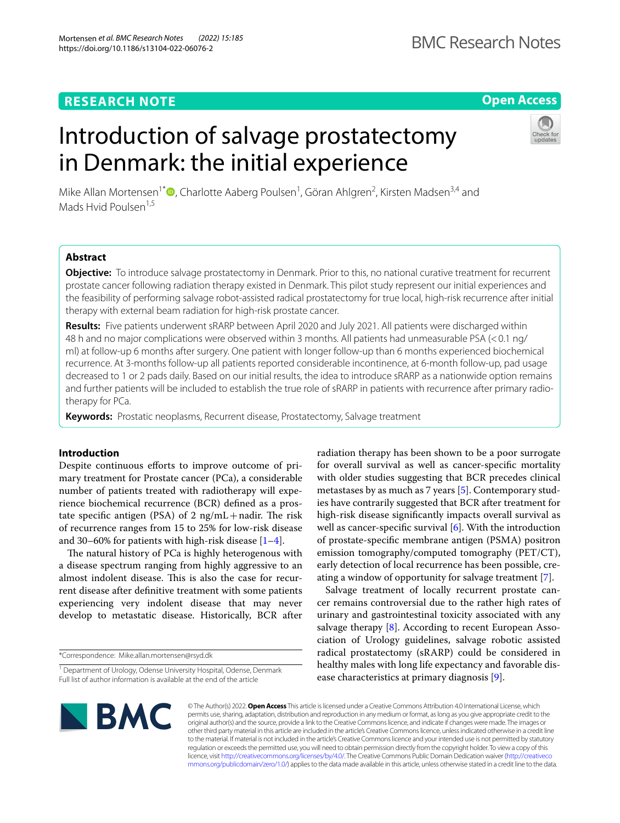Mortensen *et al. BMC Research Notes (2022) 15:185*  https://doi.org/10.1186/s13104-022-06076-2

# **Open Access**

# Introduction of salvage prostatectomy in Denmark: the initial experience



Mike Allan Mortensen<sup>1\*</sup><sup>®</sup>[,](http://orcid.org/0000-0002-7065-9623) Charlotte Aaberg Poulsen<sup>1</sup>, Göran Ahlgren<sup>2</sup>, Kirsten Madsen<sup>3,4</sup> and Mads Hvid Poulsen<sup>1,5</sup>

# **Abstract**

**Objective:** To introduce salvage prostatectomy in Denmark. Prior to this, no national curative treatment for recurrent prostate cancer following radiation therapy existed in Denmark. This pilot study represent our initial experiences and the feasibility of performing salvage robot-assisted radical prostatectomy for true local, high-risk recurrence after initial therapy with external beam radiation for high-risk prostate cancer.

**Results:** Five patients underwent sRARP between April 2020 and July 2021. All patients were discharged within 48 h and no major complications were observed within 3 months. All patients had unmeasurable PSA (<0.1 ng/ ml) at follow-up 6 months after surgery. One patient with longer follow-up than 6 months experienced biochemical recurrence. At 3-months follow-up all patients reported considerable incontinence, at 6-month follow-up, pad usage decreased to 1 or 2 pads daily. Based on our initial results, the idea to introduce sRARP as a nationwide option remains and further patients will be included to establish the true role of sRARP in patients with recurrence after primary radiotherapy for PCa.

**Keywords:** Prostatic neoplasms, Recurrent disease, Prostatectomy, Salvage treatment

# **Introduction**

Despite continuous efforts to improve outcome of primary treatment for Prostate cancer (PCa), a considerable number of patients treated with radiotherapy will experience biochemical recurrence (BCR) defned as a prostate specific antigen (PSA) of 2  $\text{ng/mL} + \text{nadir}$ . The risk of recurrence ranges from 15 to 25% for low-risk disease and 30–60% for patients with high-risk disease  $[1-4]$  $[1-4]$ .

The natural history of PCa is highly heterogenous with a disease spectrum ranging from highly aggressive to an almost indolent disease. This is also the case for recurrent disease after defnitive treatment with some patients experiencing very indolent disease that may never develop to metastatic disease. Historically, BCR after

\*Correspondence: Mike.allan.mortensen@rsyd.dk

radiation therapy has been shown to be a poor surrogate for overall survival as well as cancer-specifc mortality with older studies suggesting that BCR precedes clinical metastases by as much as 7 years [[5](#page-5-0)]. Contemporary studies have contrarily suggested that BCR after treatment for high-risk disease signifcantly impacts overall survival as well as cancer-specific survival [[6](#page-5-1)]. With the introduction of prostate-specifc membrane antigen (PSMA) positron emission tomography/computed tomography (PET/CT), early detection of local recurrence has been possible, creating a window of opportunity for salvage treatment [\[7](#page-5-2)].

Salvage treatment of locally recurrent prostate cancer remains controversial due to the rather high rates of urinary and gastrointestinal toxicity associated with any salvage therapy  $[8]$  $[8]$ . According to recent European Association of Urology guidelines, salvage robotic assisted radical prostatectomy (sRARP) could be considered in healthy males with long life expectancy and favorable disease characteristics at primary diagnosis [[9\]](#page-5-4).



© The Author(s) 2022. **Open Access** This article is licensed under a Creative Commons Attribution 4.0 International License, which permits use, sharing, adaptation, distribution and reproduction in any medium or format, as long as you give appropriate credit to the original author(s) and the source, provide a link to the Creative Commons licence, and indicate if changes were made. The images or other third party material in this article are included in the article's Creative Commons licence, unless indicated otherwise in a credit line to the material. If material is not included in the article's Creative Commons licence and your intended use is not permitted by statutory regulation or exceeds the permitted use, you will need to obtain permission directly from the copyright holder. To view a copy of this licence, visit [http://creativecommons.org/licenses/by/4.0/.](http://creativecommons.org/licenses/by/4.0/) The Creative Commons Public Domain Dedication waiver ([http://creativeco](http://creativecommons.org/publicdomain/zero/1.0/) [mmons.org/publicdomain/zero/1.0/](http://creativecommons.org/publicdomain/zero/1.0/)) applies to the data made available in this article, unless otherwise stated in a credit line to the data.

<sup>&</sup>lt;sup>1</sup> Department of Urology, Odense University Hospital, Odense, Denmark Full list of author information is available at the end of the article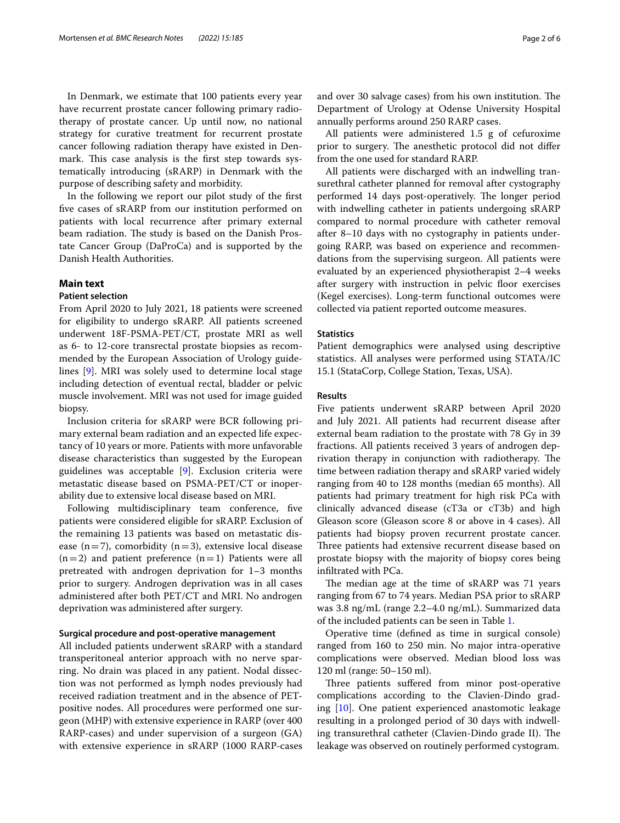In Denmark, we estimate that 100 patients every year have recurrent prostate cancer following primary radiotherapy of prostate cancer. Up until now, no national strategy for curative treatment for recurrent prostate cancer following radiation therapy have existed in Denmark. This case analysis is the first step towards systematically introducing (sRARP) in Denmark with the purpose of describing safety and morbidity.

In the following we report our pilot study of the frst fve cases of sRARP from our institution performed on patients with local recurrence after primary external beam radiation. The study is based on the Danish Prostate Cancer Group (DaProCa) and is supported by the Danish Health Authorities.

## **Main text**

## **Patient selection**

From April 2020 to July 2021, 18 patients were screened for eligibility to undergo sRARP. All patients screened underwent 18F-PSMA-PET/CT, prostate MRI as well as 6- to 12-core transrectal prostate biopsies as recommended by the European Association of Urology guidelines [[9\]](#page-5-4). MRI was solely used to determine local stage including detection of eventual rectal, bladder or pelvic muscle involvement. MRI was not used for image guided biopsy.

Inclusion criteria for sRARP were BCR following primary external beam radiation and an expected life expectancy of 10 years or more. Patients with more unfavorable disease characteristics than suggested by the European guidelines was acceptable [[9](#page-5-4)]. Exclusion criteria were metastatic disease based on PSMA-PET/CT or inoperability due to extensive local disease based on MRI.

Following multidisciplinary team conference, five patients were considered eligible for sRARP. Exclusion of the remaining 13 patients was based on metastatic disease (n=7), comorbidity (n=3), extensive local disease  $(n=2)$  and patient preference  $(n=1)$  Patients were all pretreated with androgen deprivation for 1–3 months prior to surgery. Androgen deprivation was in all cases administered after both PET/CT and MRI. No androgen deprivation was administered after surgery.

#### **Surgical procedure and post‑operative management**

All included patients underwent sRARP with a standard transperitoneal anterior approach with no nerve sparring. No drain was placed in any patient. Nodal dissection was not performed as lymph nodes previously had received radiation treatment and in the absence of PETpositive nodes. All procedures were performed one surgeon (MHP) with extensive experience in RARP (over 400 RARP-cases) and under supervision of a surgeon (GA) with extensive experience in sRARP (1000 RARP-cases and over 30 salvage cases) from his own institution. The Department of Urology at Odense University Hospital annually performs around 250 RARP cases.

All patients were administered 1.5 g of cefuroxime prior to surgery. The anesthetic protocol did not differ from the one used for standard RARP.

All patients were discharged with an indwelling transurethral catheter planned for removal after cystography performed 14 days post-operatively. The longer period with indwelling catheter in patients undergoing sRARP compared to normal procedure with catheter removal after 8–10 days with no cystography in patients undergoing RARP, was based on experience and recommendations from the supervising surgeon. All patients were evaluated by an experienced physiotherapist 2–4 weeks after surgery with instruction in pelvic floor exercises (Kegel exercises). Long-term functional outcomes were collected via patient reported outcome measures.

#### **Statistics**

Patient demographics were analysed using descriptive statistics. All analyses were performed using STATA/IC 15.1 (StataCorp, College Station, Texas, USA).

#### **Results**

Five patients underwent sRARP between April 2020 and July 2021. All patients had recurrent disease after external beam radiation to the prostate with 78 Gy in 39 fractions. All patients received 3 years of androgen deprivation therapy in conjunction with radiotherapy. The time between radiation therapy and sRARP varied widely ranging from 40 to 128 months (median 65 months). All patients had primary treatment for high risk PCa with clinically advanced disease (cT3a or cT3b) and high Gleason score (Gleason score 8 or above in 4 cases). All patients had biopsy proven recurrent prostate cancer. Three patients had extensive recurrent disease based on prostate biopsy with the majority of biopsy cores being infltrated with PCa.

The median age at the time of sRARP was 71 years ranging from 67 to 74 years. Median PSA prior to sRARP was 3.8 ng/mL (range 2.2–4.0 ng/mL). Summarized data of the included patients can be seen in Table [1](#page-2-0).

Operative time (defned as time in surgical console) ranged from 160 to 250 min. No major intra-operative complications were observed. Median blood loss was 120 ml (range: 50–150 ml).

Three patients suffered from minor post-operative complications according to the Clavien-Dindo grading [\[10\]](#page-5-5). One patient experienced anastomotic leakage resulting in a prolonged period of 30 days with indwelling transurethral catheter (Clavien-Dindo grade II). The leakage was observed on routinely performed cystogram.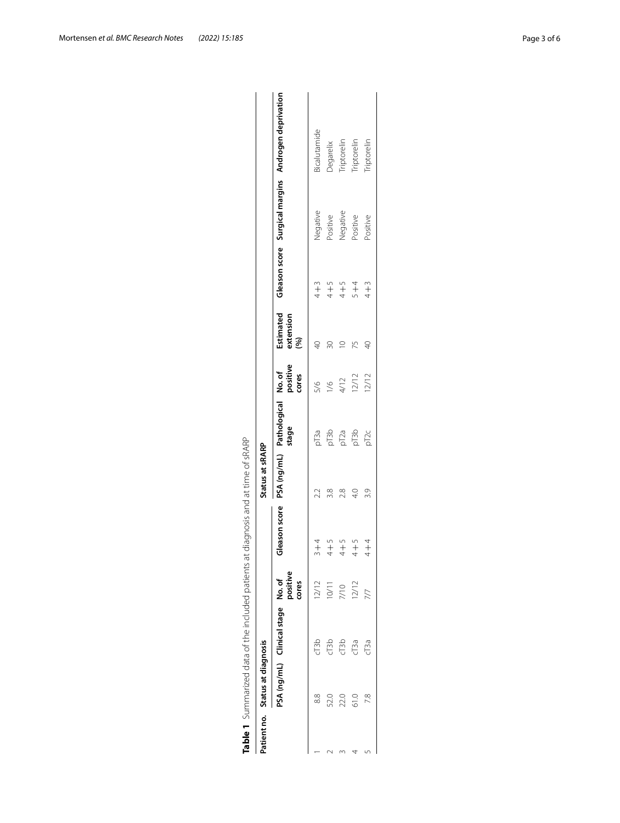| Patient no. Status at diagnosis |                                   |                   |                                                                          | Status at sRARP |                               |       |                               |         |                      |                                                     |
|---------------------------------|-----------------------------------|-------------------|--------------------------------------------------------------------------|-----------------|-------------------------------|-------|-------------------------------|---------|----------------------|-----------------------------------------------------|
|                                 | PSA (ng/mL) Clinical stage No. of | positive<br>cores | Gleason score PSA (ng/mL) Pathological No. of<br>Stage positive<br>cores |                 |                               |       | Estimated<br>extension<br>(%) |         |                      | Gleason score Surgical margins Androgen deprivation |
| 88                              | C13b                              | 12/12             | $+$                                                                      | 22              |                               | 5/6   | QÞ                            | $4 + 3$ | Negative             | <b>Sicalutamide</b>                                 |
| 52.0                            | d <sub>13b</sub>                  | 10/11             | $\frac{5}{1}$                                                            | 3.8             |                               | 1/6   | 50                            | $4 + 5$ | Positive             | Degarelix                                           |
| 22.0                            | C13b                              | 7/10              | $4 + 5$                                                                  | 2.8             |                               | 4/12  |                               | $4 + 5$ |                      | Triptorelin                                         |
| 61.0                            | $C$ <sup>3a</sup>                 | 12/12             | $\frac{5}{1}$                                                            | $\frac{1}{4}$   | na<br>En En<br>En En<br>En En | 12/12 |                               | $5 + 4$ | Negative<br>Positive | riptorelin                                          |
|                                 | cT3a                              |                   | $+$                                                                      | 3.9             | pT <sub>2c</sub>              | 12/12 | $\overline{4}$                | $4 + 3$ | Positive             | <b>Triptorelin</b>                                  |

<span id="page-2-0"></span>

| $\overline{\phantom{a}}$               |
|----------------------------------------|
| $\overline{a}$                         |
| しょう りろこき きゃくてん りこりとうりこう キャッチ           |
|                                        |
| 5                                      |
| 5<br>}                                 |
| ١                                      |
| $\frac{1}{2}$<br>Ì                     |
|                                        |
|                                        |
| こりつりり                                  |
|                                        |
| ١                                      |
|                                        |
|                                        |
|                                        |
| )<br>J                                 |
|                                        |
| .<br>.<br>.<br>$\overline{\mathbf{r}}$ |
|                                        |
| ŗ                                      |
|                                        |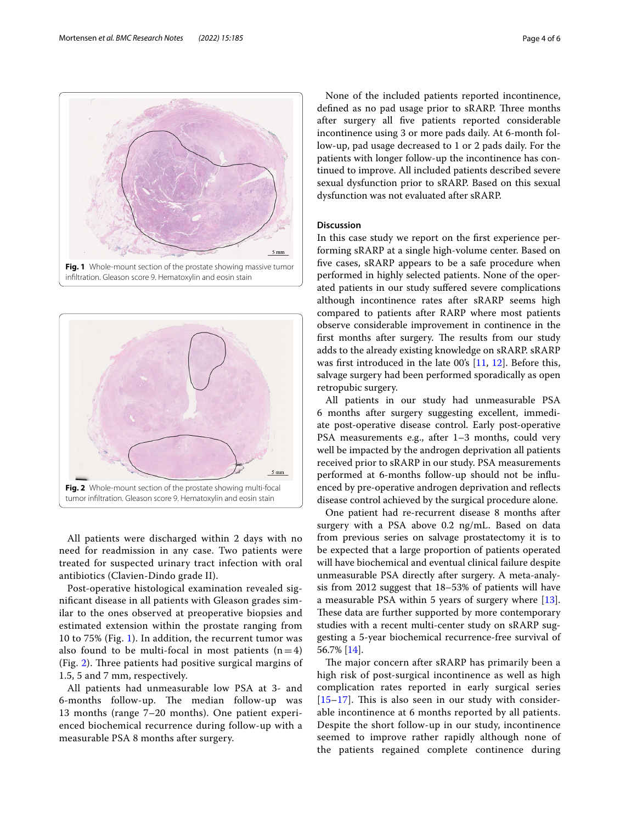All patients were discharged within 2 days with no need for readmission in any case. Two patients were treated for suspected urinary tract infection with oral antibiotics (Clavien-Dindo grade II).

<span id="page-3-1"></span>**Fig. 2** Whole-mount section of the prostate showing multi-focal tumor infltration. Gleason score 9. Hematoxylin and eosin stain

 $5 \text{ mm}$ 

Post-operative histological examination revealed signifcant disease in all patients with Gleason grades similar to the ones observed at preoperative biopsies and estimated extension within the prostate ranging from 10 to 75% (Fig. [1\)](#page-3-0). In addition, the recurrent tumor was also found to be multi-focal in most patients  $(n=4)$ (Fig. [2](#page-3-1)). Three patients had positive surgical margins of 1.5, 5 and 7 mm, respectively.

All patients had unmeasurable low PSA at 3- and 6-months follow-up. The median follow-up was 13 months (range 7–20 months). One patient experienced biochemical recurrence during follow-up with a measurable PSA 8 months after surgery.

None of the included patients reported incontinence, defined as no pad usage prior to sRARP. Three months after surgery all fve patients reported considerable incontinence using 3 or more pads daily. At 6-month follow-up, pad usage decreased to 1 or 2 pads daily. For the patients with longer follow-up the incontinence has continued to improve. All included patients described severe sexual dysfunction prior to sRARP. Based on this sexual dysfunction was not evaluated after sRARP.

## **Discussion**

In this case study we report on the frst experience performing sRARP at a single high-volume center. Based on fve cases, sRARP appears to be a safe procedure when performed in highly selected patients. None of the operated patients in our study sufered severe complications although incontinence rates after sRARP seems high compared to patients after RARP where most patients observe considerable improvement in continence in the first months after surgery. The results from our study adds to the already existing knowledge on sRARP. sRARP was frst introduced in the late 00's [\[11](#page-5-6), [12\]](#page-5-7). Before this, salvage surgery had been performed sporadically as open retropubic surgery.

All patients in our study had unmeasurable PSA 6 months after surgery suggesting excellent, immediate post-operative disease control. Early post-operative PSA measurements e.g., after 1–3 months, could very well be impacted by the androgen deprivation all patients received prior to sRARP in our study. PSA measurements performed at 6-months follow-up should not be infuenced by pre-operative androgen deprivation and refects disease control achieved by the surgical procedure alone.

One patient had re-recurrent disease 8 months after surgery with a PSA above 0.2 ng/mL. Based on data from previous series on salvage prostatectomy it is to be expected that a large proportion of patients operated will have biochemical and eventual clinical failure despite unmeasurable PSA directly after surgery. A meta-analysis from 2012 suggest that 18–53% of patients will have a measurable PSA within 5 years of surgery where [\[13](#page-5-8)]. These data are further supported by more contemporary studies with a recent multi-center study on sRARP suggesting a 5-year biochemical recurrence-free survival of 56.7% [\[14\]](#page-5-9).

The major concern after sRARP has primarily been a high risk of post-surgical incontinence as well as high complication rates reported in early surgical series  $[15–17]$  $[15–17]$  $[15–17]$  $[15–17]$ . This is also seen in our study with considerable incontinence at 6 months reported by all patients. Despite the short follow-up in our study, incontinence seemed to improve rather rapidly although none of the patients regained complete continence during

<span id="page-3-0"></span>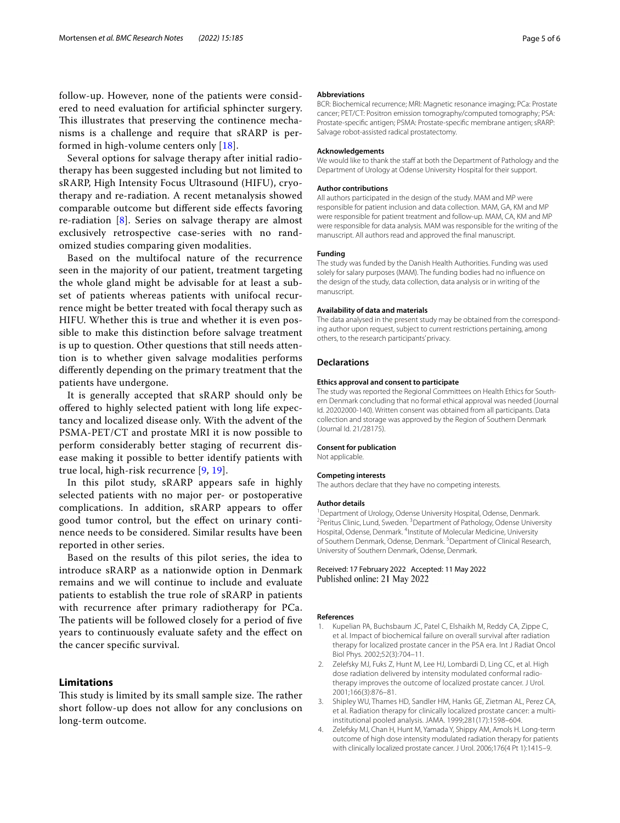follow-up. However, none of the patients were considered to need evaluation for artifcial sphincter surgery. This illustrates that preserving the continence mechanisms is a challenge and require that sRARP is performed in high-volume centers only [[18\]](#page-5-12).

Several options for salvage therapy after initial radiotherapy has been suggested including but not limited to sRARP, High Intensity Focus Ultrasound (HIFU), cryotherapy and re-radiation. A recent metanalysis showed comparable outcome but diferent side efects favoring re-radiation [[8\]](#page-5-3). Series on salvage therapy are almost exclusively retrospective case-series with no randomized studies comparing given modalities.

Based on the multifocal nature of the recurrence seen in the majority of our patient, treatment targeting the whole gland might be advisable for at least a subset of patients whereas patients with unifocal recurrence might be better treated with focal therapy such as HIFU. Whether this is true and whether it is even possible to make this distinction before salvage treatment is up to question. Other questions that still needs attention is to whether given salvage modalities performs diferently depending on the primary treatment that the patients have undergone.

It is generally accepted that sRARP should only be ofered to highly selected patient with long life expectancy and localized disease only. With the advent of the PSMA-PET/CT and prostate MRI it is now possible to perform considerably better staging of recurrent disease making it possible to better identify patients with true local, high-risk recurrence [[9,](#page-5-4) [19\]](#page-5-13).

In this pilot study, sRARP appears safe in highly selected patients with no major per- or postoperative complications. In addition, sRARP appears to offer good tumor control, but the efect on urinary continence needs to be considered. Similar results have been reported in other series.

Based on the results of this pilot series, the idea to introduce sRARP as a nationwide option in Denmark remains and we will continue to include and evaluate patients to establish the true role of sRARP in patients with recurrence after primary radiotherapy for PCa. The patients will be followed closely for a period of five years to continuously evaluate safety and the efect on the cancer specifc survival.

## **Limitations**

This study is limited by its small sample size. The rather short follow-up does not allow for any conclusions on long-term outcome.

#### **Abbreviations**

BCR: Biochemical recurrence; MRI: Magnetic resonance imaging; PCa: Prostate cancer; PET/CT: Positron emission tomography/computed tomography; PSA: Prostate-specifc antigen; PSMA: Prostate-specifc membrane antigen; sRARP: Salvage robot-assisted radical prostatectomy.

#### **Acknowledgements**

We would like to thank the staff at both the Department of Pathology and the Department of Urology at Odense University Hospital for their support.

#### **Author contributions**

All authors participated in the design of the study. MAM and MP were responsible for patient inclusion and data collection. MAM, GA, KM and MP were responsible for patient treatment and follow-up. MAM, CA, KM and MP were responsible for data analysis. MAM was responsible for the writing of the manuscript. All authors read and approved the fnal manuscript.

#### **Funding**

The study was funded by the Danish Health Authorities. Funding was used solely for salary purposes (MAM). The funding bodies had no infuence on the design of the study, data collection, data analysis or in writing of the manuscript.

#### **Availability of data and materials**

The data analysed in the present study may be obtained from the corresponding author upon request, subject to current restrictions pertaining, among others, to the research participants' privacy.

## **Declarations**

#### **Ethics approval and consent to participate**

The study was reported the Regional Committees on Health Ethics for Southern Denmark concluding that no formal ethical approval was needed (Journal Id. 20202000-140). Written consent was obtained from all participants. Data collection and storage was approved by the Region of Southern Denmark (Journal Id. 21/28175).

#### **Consent for publication**

Not applicable.

#### **Competing interests**

The authors declare that they have no competing interests.

#### **Author details**

<sup>1</sup> Department of Urology, Odense University Hospital, Odense, Denmark.<br><sup>2</sup> Peritus Clinic Lund, Sweden, <sup>3</sup> Department of Pathology, Odense Univers Peritus Clinic, Lund, Sweden. <sup>3</sup> Department of Pathology, Odense University Hospital, Odense, Denmark. <sup>4</sup>Institute of Molecular Medicine, University of Southern Denmark, Odense, Denmark. <sup>5</sup> Department of Clinical Research, University of Southern Denmark, Odense, Denmark.

#### Received: 17 February 2022 Accepted: 11 May 2022 Published online: 21 May 2022

#### **References**

- <span id="page-4-0"></span>1. Kupelian PA, Buchsbaum JC, Patel C, Elshaikh M, Reddy CA, Zippe C, et al. Impact of biochemical failure on overall survival after radiation therapy for localized prostate cancer in the PSA era. Int J Radiat Oncol Biol Phys. 2002;52(3):704–11.
- 2. Zelefsky MJ, Fuks Z, Hunt M, Lee HJ, Lombardi D, Ling CC, et al. High dose radiation delivered by intensity modulated conformal radiotherapy improves the outcome of localized prostate cancer. J Urol. 2001;166(3):876–81.
- 3. Shipley WU, Thames HD, Sandler HM, Hanks GE, Zietman AL, Perez CA, et al. Radiation therapy for clinically localized prostate cancer: a multiinstitutional pooled analysis. JAMA. 1999;281(17):1598–604.
- <span id="page-4-1"></span>4. Zelefsky MJ, Chan H, Hunt M, Yamada Y, Shippy AM, Amols H. Long-term outcome of high dose intensity modulated radiation therapy for patients with clinically localized prostate cancer. J Urol. 2006;176(4 Pt 1):1415–9.